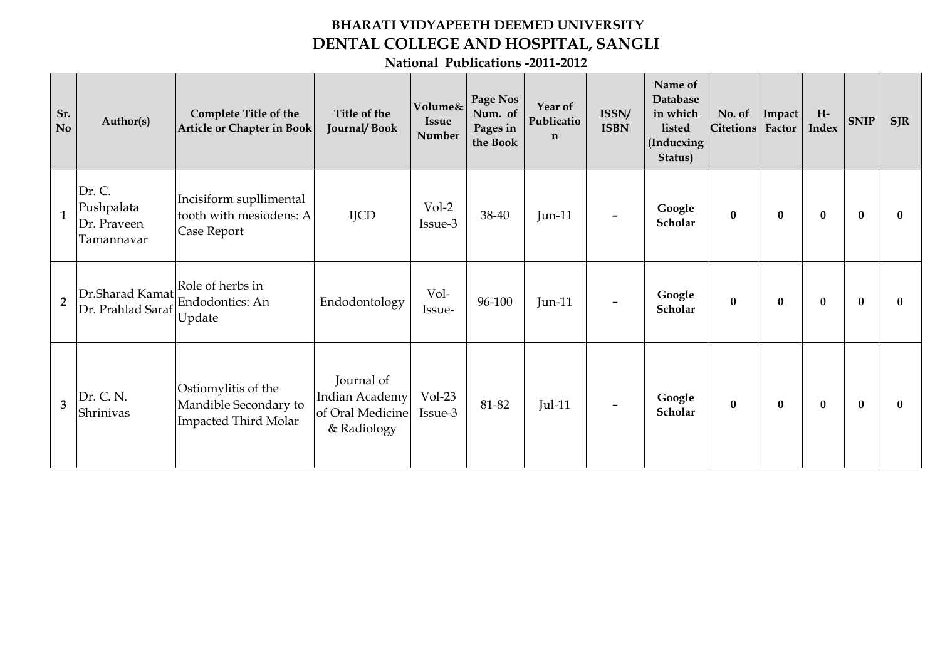## **BHARATI VIDYAPEETH DEEMED UNIVERSITY DENTAL COLLEGE AND HOSPITAL, SANGLI**

**National Publications -2011-2012**

| Sr.<br>N <sub>o</sub> | Author(s)                                         | <b>Complete Title of the</b><br>Article or Chapter in Book                  | Title of the<br><b>Journal/Book</b>                             | Volume&<br><b>Issue</b><br>Number | Page Nos<br>Num. of<br>Pages in<br>the Book | Year of<br>Publicatio<br>$\mathbf n$ | ISSN/<br><b>ISBN</b>     | Name of<br>Database<br>in which<br>listed<br>(Inducxing<br>Status) | No. of<br>Citetions | Impact<br>Factor | $H-$<br>Index    | <b>SNIP</b>  | SIR          |
|-----------------------|---------------------------------------------------|-----------------------------------------------------------------------------|-----------------------------------------------------------------|-----------------------------------|---------------------------------------------|--------------------------------------|--------------------------|--------------------------------------------------------------------|---------------------|------------------|------------------|--------------|--------------|
| 1                     | Dr. C.<br>Pushpalata<br>Dr. Praveen<br>Tamannavar | Incisiform supllimental<br>tooth with mesiodens: A<br>Case Report           | <b>IJCD</b>                                                     | $Vol-2$<br>Issue-3                | 38-40                                       | Jun- $11$                            |                          | Google<br>Scholar                                                  | $\mathbf{0}$        | $\mathbf{0}$     | $\bf{0}$         | $\mathbf{0}$ | $\bf{0}$     |
| $\overline{2}$        | Dr.Sharad Kamat<br>Dr. Prahlad Saraf Update       | Role of herbs in<br>Endodontics: An                                         | Endodontology                                                   | Vol-<br>Issue-                    | 96-100                                      | Jun-11                               |                          | Google<br>Scholar                                                  | $\bf{0}$            | $\bf{0}$         | $\bf{0}$         | $\bf{0}$     | 0            |
| 3                     | Dr. C. N.<br>Shrinivas                            | Ostiomylitis of the<br>Mandible Secondary to<br><b>Impacted Third Molar</b> | Journal of<br>Indian Academy<br>of Oral Medicine<br>& Radiology | $Vol-23$<br>Issue-3               | 81-82                                       | <b>Jul-11</b>                        | $\overline{\phantom{a}}$ | Google<br>Scholar                                                  | $\bf{0}$            | $\bf{0}$         | $\boldsymbol{0}$ | $\mathbf{0}$ | $\mathbf{0}$ |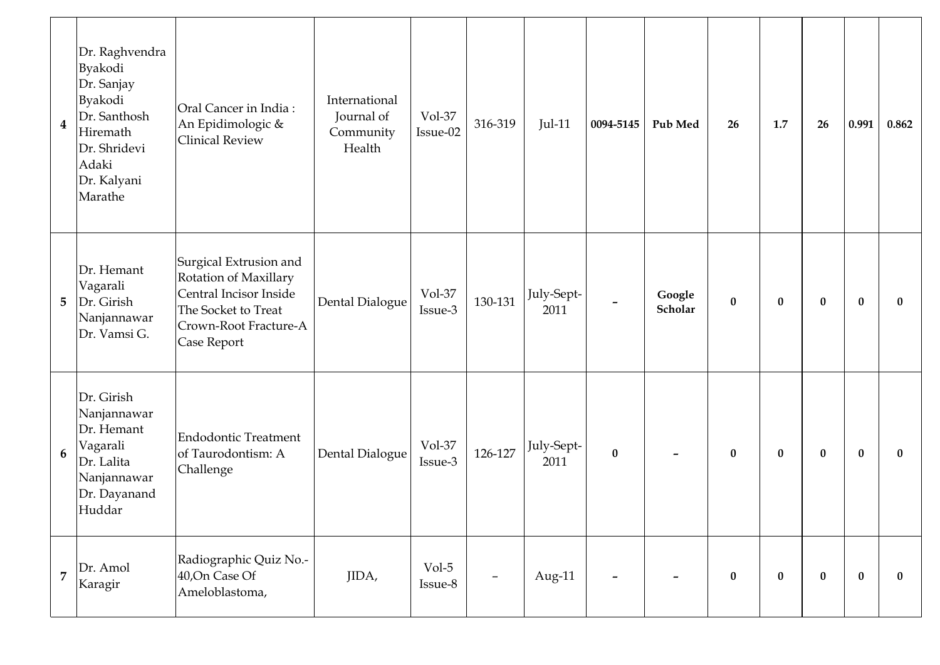| $\overline{\mathbf{4}}$ | Dr. Raghvendra<br>Byakodi<br>Dr. Sanjay<br>Byakodi<br>Dr. Santhosh<br>Hiremath<br>Dr. Shridevi<br>Adaki<br>Dr. Kalyani<br>Marathe | Oral Cancer in India:<br>An Epidimologic &<br><b>Clinical Review</b>                                                                     | International<br>Journal of<br>Community<br>Health | Vol-37<br>Issue-02  | 316-319 | <b>Jul-11</b>      | 0094-5145 | Pub Med                  | 26       | 1.7      | 26       | 0.991    | 0.862        |
|-------------------------|-----------------------------------------------------------------------------------------------------------------------------------|------------------------------------------------------------------------------------------------------------------------------------------|----------------------------------------------------|---------------------|---------|--------------------|-----------|--------------------------|----------|----------|----------|----------|--------------|
| 5                       | Dr. Hemant<br>Vagarali<br>Dr. Girish<br>Nanjannawar<br>Dr. Vamsi G.                                                               | Surgical Extrusion and<br>Rotation of Maxillary<br>Central Incisor Inside<br>The Socket to Treat<br>Crown-Root Fracture-A<br>Case Report | Dental Dialogue                                    | Vol-37<br>Issue-3   | 130-131 | July-Sept-<br>2011 |           | Google<br>Scholar        | $\bf{0}$ | $\bf{0}$ | $\bf{0}$ | $\bf{0}$ | $\bf{0}$     |
| 6                       | Dr. Girish<br>Nanjannawar<br>Dr. Hemant<br>Vagarali<br>Dr. Lalita<br>Nanjannawar<br>Dr. Dayanand<br>Huddar                        | <b>Endodontic Treatment</b><br>of Taurodontism: A<br>Challenge                                                                           | Dental Dialogue                                    | $Vol-37$<br>Issue-3 | 126-127 | July-Sept-<br>2011 | $\bf{0}$  |                          | $\bf{0}$ | $\bf{0}$ | $\bf{0}$ | $\bf{0}$ | $\mathbf{0}$ |
| $\overline{7}$          | $Dr.$ Amol<br>Karagir                                                                                                             | Radiographic Quiz No.-<br>40, On Case Of<br>Ameloblastoma,                                                                               | JIDA,                                              | Vol-5<br>Issue-8    | -       | Aug-11             | -         | $\overline{\phantom{m}}$ | $\bf{0}$ | $\bf{0}$ | $\bf{0}$ | $\bf{0}$ | $\bf{0}$     |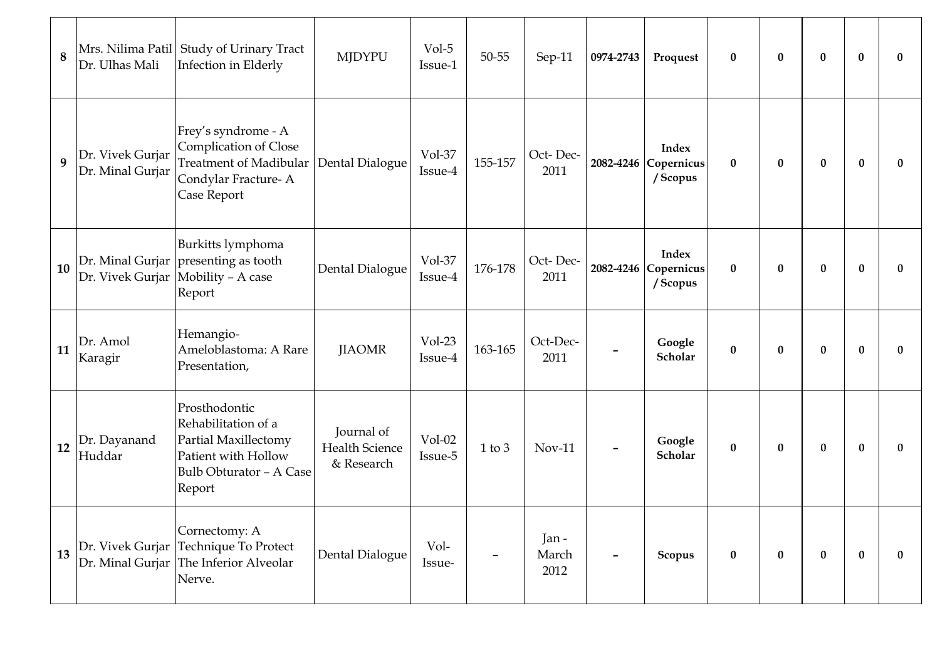| 8  | Dr. Ulhas Mali                       | Mrs. Nilima Patil Study of Urinary Tract<br>Infection in Elderly                                                                | <b>MJDYPU</b>                                     | Vol-5<br>Issue-1    | 50-55      | Sep-11                | 0974-2743                    | Proquest                                         | $\bf{0}$ | $\bf{0}$ | $\bf{0}$ | $\bf{0}$ | 0        |
|----|--------------------------------------|---------------------------------------------------------------------------------------------------------------------------------|---------------------------------------------------|---------------------|------------|-----------------------|------------------------------|--------------------------------------------------|----------|----------|----------|----------|----------|
| 9  | Dr. Vivek Gurjar<br>Dr. Minal Gurjar | Frey's syndrome - A<br>Complication of Close<br><b>Treatment of Madibular</b><br>Condylar Fracture-A<br>Case Report             | Dental Dialogue                                   | Vol-37<br>Issue-4   | 155-157    | Oct-Dec-<br>2011      |                              | <b>Index</b><br>2082-4246 Copernicus<br>/ Scopus | $\bf{0}$ | $\bf{0}$ | $\bf{0}$ | $\bf{0}$ | $\bf{0}$ |
| 10 |                                      | Burkitts lymphoma<br>Dr. Minal Gurjar   presenting as tooth<br>Dr. Vivek Gurjar Mobility - A case<br>Report                     | Dental Dialogue                                   | Vol-37<br>Issue-4   | 176-178    | Oct-Dec-<br>2011      |                              | <b>Index</b><br>2082-4246 Copernicus<br>/ Scopus | $\bf{0}$ | $\bf{0}$ | $\bf{0}$ | $\bf{0}$ | 0        |
| 11 | Dr. Amol<br>Karagir                  | Hemangio-<br>Ameloblastoma: A Rare<br>Presentation,                                                                             | <b>JIAOMR</b>                                     | $Vol-23$<br>Issue-4 | 163-165    | Oct-Dec-<br>2011      |                              | Google<br><b>Scholar</b>                         | $\bf{0}$ | $\bf{0}$ | $\bf{0}$ | $\bf{0}$ | 0        |
| 12 | Dr. Dayanand<br>Huddar               | Prosthodontic<br>Rehabilitation of a<br>Partial Maxillectomy<br>Patient with Hollow<br><b>Bulb Obturator - A Case</b><br>Report | Journal of<br><b>Health Science</b><br>& Research | $Vol-02$<br>Issue-5 | $1$ to $3$ | $Nov-11$              |                              | Google<br>Scholar                                | $\bf{0}$ | $\bf{0}$ | $\bf{0}$ | $\bf{0}$ | $\bf{0}$ |
| 13 | Dr. Vivek Gurjar                     | Cornectomy: A<br>Technique To Protect<br>Dr. Minal Gurjar The Inferior Alveolar<br>Nerve.                                       | Dental Dialogue                                   | Vol-<br>Issue-      |            | Jan-<br>March<br>2012 | $\qquad \qquad \blacksquare$ | Scopus                                           | $\bf{0}$ | $\bf{0}$ | $\bf{0}$ | $\bf{0}$ | 0        |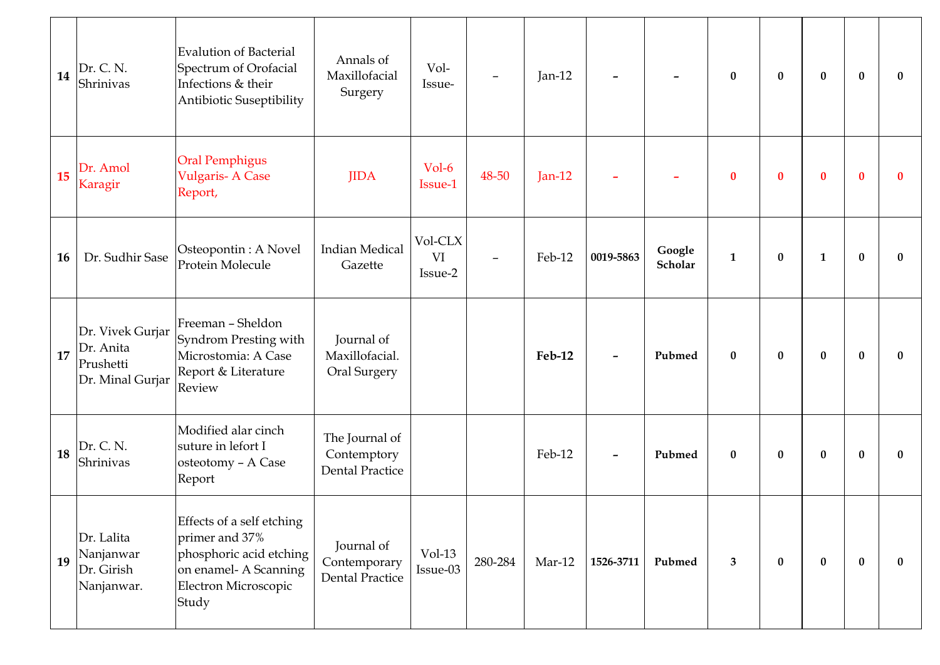| 14 | Dr. C. N.<br>Shrinivas                                         | Evalution of Bacterial<br>Spectrum of Orofacial<br>Infections & their<br>Antibiotic Suseptibility                                | Annals of<br>Maxillofacial<br>Surgery                   | Vol-<br>Issue-           |         | Jan-12   |                          |                          | $\bf{0}$         | $\bf{0}$     | $\bf{0}$     | $\mathbf{0}$ | $\mathbf{0}$ |
|----|----------------------------------------------------------------|----------------------------------------------------------------------------------------------------------------------------------|---------------------------------------------------------|--------------------------|---------|----------|--------------------------|--------------------------|------------------|--------------|--------------|--------------|--------------|
| 15 | Dr. Amol<br>Karagir                                            | <b>Oral Pemphigus</b><br><b>Vulgaris-A Case</b><br>Report,                                                                       | <b>JIDA</b>                                             | Vol-6<br>Issue-1         | 48-50   | $Jan-12$ |                          |                          | $\bf{0}$         | $\bf{0}$     | $\bf{0}$     | $\mathbf{0}$ | $\bf{0}$     |
| 16 | Dr. Sudhir Sase                                                | Osteopontin: A Novel<br>Protein Molecule                                                                                         | <b>Indian Medical</b><br>Gazette                        | Vol-CLX<br>VI<br>Issue-2 |         | Feb-12   | 0019-5863                | Google<br><b>Scholar</b> | $\mathbf{1}$     | $\mathbf{0}$ | $\mathbf{1}$ | $\mathbf{0}$ | $\mathbf{0}$ |
| 17 | Dr. Vivek Gurjar<br>Dr. Anita<br>Prushetti<br>Dr. Minal Gurjar | Freeman - Sheldon<br>Syndrom Presting with<br>Microstomia: A Case<br>Report & Literature<br>Review                               | Journal of<br>Maxillofacial.<br><b>Oral Surgery</b>     |                          |         | Feb-12   |                          | Pubmed                   | $\bf{0}$         | $\bf{0}$     | $\bf{0}$     | $\mathbf{0}$ | $\bf{0}$     |
| 18 | Dr. C. N.<br>Shrinivas                                         | Modified alar cinch<br>suture in lefort I<br>osteotomy - A Case<br>Report                                                        | The Journal of<br>Contemptory<br><b>Dental Practice</b> |                          |         | Feb-12   | $\overline{\phantom{a}}$ | Pubmed                   | $\boldsymbol{0}$ | $\bf{0}$     | $\bf{0}$     | $\bf{0}$     | $\mathbf{0}$ |
| 19 | Dr. Lalita<br>Nanjanwar<br>Dr. Girish<br>Nanjanwar.            | Effects of a self etching<br>primer and 37%<br>phosphoric acid etching<br>on enamel- A Scanning<br>Electron Microscopic<br>Study | Journal of<br>Contemporary<br><b>Dental Practice</b>    | $Vol-13$<br>Issue-03     | 280-284 | $Mar-12$ | 1526-3711                | Pubmed                   | 3                | $\bf{0}$     | $\bf{0}$     | $\bf{0}$     | $\bf{0}$     |